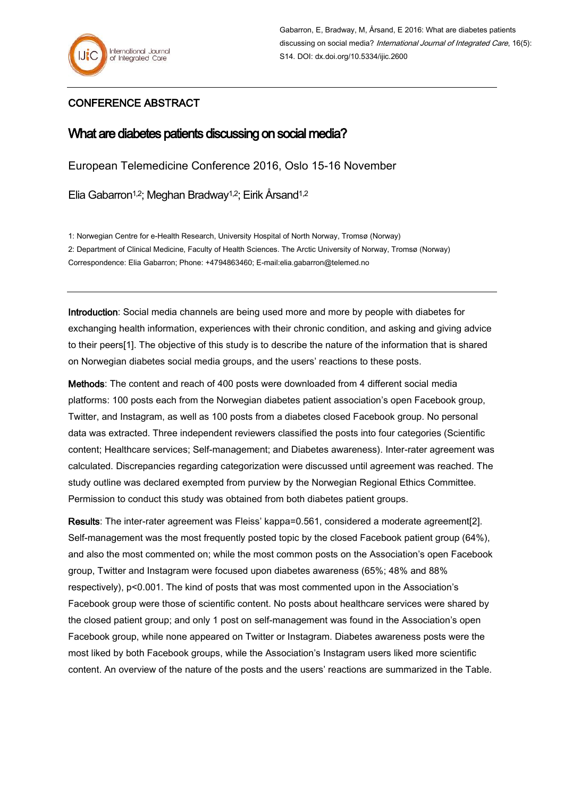## CONFERENCE ABSTRACT

## What are diabetes patients discussing on social media?

European Telemedicine Conference 2016, Oslo 15-16 November

Elia Gabarron1,2; Meghan Bradway1,2; Eirik Årsand1,2

1: Norwegian Centre for e-Health Research, University Hospital of North Norway, Tromsø (Norway) 2: Department of Clinical Medicine, Faculty of Health Sciences. The Arctic University of Norway, Tromsø (Norway) Correspondence: Elia Gabarron; Phone: +4794863460; E-mail:elia.gabarron@telemed.no

Introduction: Social media channels are being used more and more by people with diabetes for exchanging health information, experiences with their chronic condition, and asking and giving advice to their peers[1]. The objective of this study is to describe the nature of the information that is shared on Norwegian diabetes social media groups, and the users' reactions to these posts.

Methods: The content and reach of 400 posts were downloaded from 4 different social media platforms: 100 posts each from the Norwegian diabetes patient association's open Facebook group, Twitter, and Instagram, as well as 100 posts from a diabetes closed Facebook group. No personal data was extracted. Three independent reviewers classified the posts into four categories (Scientific content; Healthcare services; Self-management; and Diabetes awareness). Inter-rater agreement was calculated. Discrepancies regarding categorization were discussed until agreement was reached. The study outline was declared exempted from purview by the Norwegian Regional Ethics Committee. Permission to conduct this study was obtained from both diabetes patient groups.

Results: The inter-rater agreement was Fleiss' kappa=0.561, considered a moderate agreement[2]. Self-management was the most frequently posted topic by the closed Facebook patient group (64%), and also the most commented on; while the most common posts on the Association's open Facebook group, Twitter and Instagram were focused upon diabetes awareness (65%; 48% and 88% respectively), p<0.001. The kind of posts that was most commented upon in the Association's Facebook group were those of scientific content. No posts about healthcare services were shared by the closed patient group; and only 1 post on self-management was found in the Association's open Facebook group, while none appeared on Twitter or Instagram. Diabetes awareness posts were the most liked by both Facebook groups, while the Association's Instagram users liked more scientific content. An overview of the nature of the posts and the users' reactions are summarized in the Table.